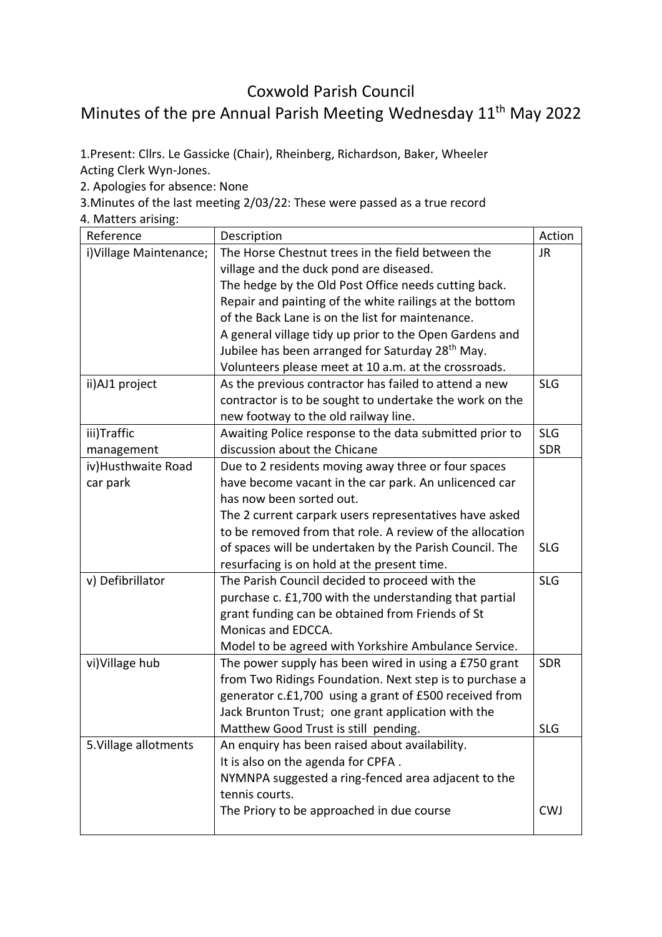## Coxwold Parish Council Minutes of the pre Annual Parish Meeting Wednesday 11<sup>th</sup> May 2022

1.Present: Cllrs. Le Gassicke (Chair), Rheinberg, Richardson, Baker, Wheeler Acting Clerk Wyn-Jones.

2. Apologies for absence: None

3.Minutes of the last meeting 2/03/22: These were passed as a true record

4. Matters arising:

| Reference               | Description                                                  | Action     |
|-------------------------|--------------------------------------------------------------|------------|
| i) Village Maintenance; | The Horse Chestnut trees in the field between the            | JR.        |
|                         | village and the duck pond are diseased.                      |            |
|                         | The hedge by the Old Post Office needs cutting back.         |            |
|                         | Repair and painting of the white railings at the bottom      |            |
|                         | of the Back Lane is on the list for maintenance.             |            |
|                         | A general village tidy up prior to the Open Gardens and      |            |
|                         | Jubilee has been arranged for Saturday 28 <sup>th</sup> May. |            |
|                         | Volunteers please meet at 10 a.m. at the crossroads.         |            |
| ii) AJ1 project         | As the previous contractor has failed to attend a new        | <b>SLG</b> |
|                         | contractor is to be sought to undertake the work on the      |            |
|                         | new footway to the old railway line.                         |            |
| iii)Traffic             | Awaiting Police response to the data submitted prior to      | <b>SLG</b> |
| management              | discussion about the Chicane                                 | <b>SDR</b> |
| iv) Husthwaite Road     | Due to 2 residents moving away three or four spaces          |            |
| car park                | have become vacant in the car park. An unlicenced car        |            |
|                         | has now been sorted out.                                     |            |
|                         | The 2 current carpark users representatives have asked       |            |
|                         | to be removed from that role. A review of the allocation     |            |
|                         | of spaces will be undertaken by the Parish Council. The      | <b>SLG</b> |
|                         | resurfacing is on hold at the present time.                  |            |
| v) Defibrillator        | The Parish Council decided to proceed with the               | <b>SLG</b> |
|                         | purchase c. £1,700 with the understanding that partial       |            |
|                         | grant funding can be obtained from Friends of St             |            |
|                         | Monicas and EDCCA.                                           |            |
|                         | Model to be agreed with Yorkshire Ambulance Service.         |            |
| vi) Village hub         | The power supply has been wired in using a £750 grant        | <b>SDR</b> |
|                         | from Two Ridings Foundation. Next step is to purchase a      |            |
|                         | generator c.£1,700 using a grant of £500 received from       |            |
|                         | Jack Brunton Trust; one grant application with the           |            |
|                         | Matthew Good Trust is still pending.                         | <b>SLG</b> |
| 5. Village allotments   | An enquiry has been raised about availability.               |            |
|                         | It is also on the agenda for CPFA.                           |            |
|                         | NYMNPA suggested a ring-fenced area adjacent to the          |            |
|                         | tennis courts.                                               |            |
|                         | The Priory to be approached in due course                    | <b>CWJ</b> |
|                         |                                                              |            |